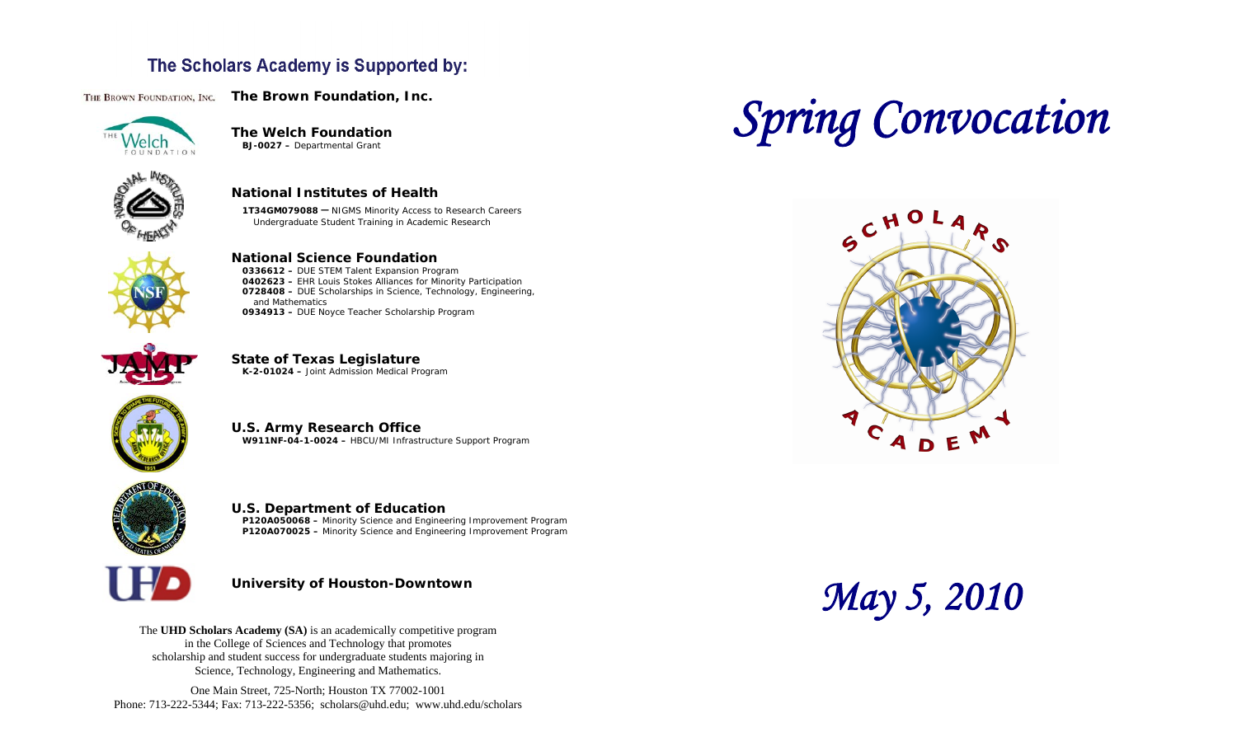## The Scholars Academy is Supported by:

THE BROWN FOUNDATION, INC. The Brown Foundation, Inc.



**The Welch Foundation BJ-0027 –** Departmental Grant



**National Institutes of Health** 

**1T34GM079088 –** NIGMS Minority Access to Research Careers Undergraduate Student Training in Academic Research



**National Science Foundation** 

**0336612 –** DUE STEM Talent Expansion Program **0402623 –** EHR Louis Stokes Alliances for Minority Participation **0728408 –** DUE Scholarships in Science, Technology, Engineering, and Mathematics **0934913 –** DUE Noyce Teacher Scholarship Program







**U.S. Army Research Office W911NF-04-1-0024 –** HBCU/MI Infrastructure Support Program



**U.S. Department of Education P120A050068 –** Minority Science and Engineering Improvement Program

**P120A070025 –** Minority Science and Engineering Improvement Program



#### **University of Houston-Downtown**

The **UHD Scholars Academy (SA)** is an academically competitive program in the College of Sciences and Technology that promotes scholarship and student success for undergraduate students majoring in Science, Technology, Engineering and Mathematics.

One Main Street, 725-North; Houston TX 77002-1001 Phone: 713-222-5344; Fax: 713-222-5356; [scholars@uhd.edu](mailto:scholars@uhd.edu); <www.uhd.edu/scholars>

# *Spring Convocation*



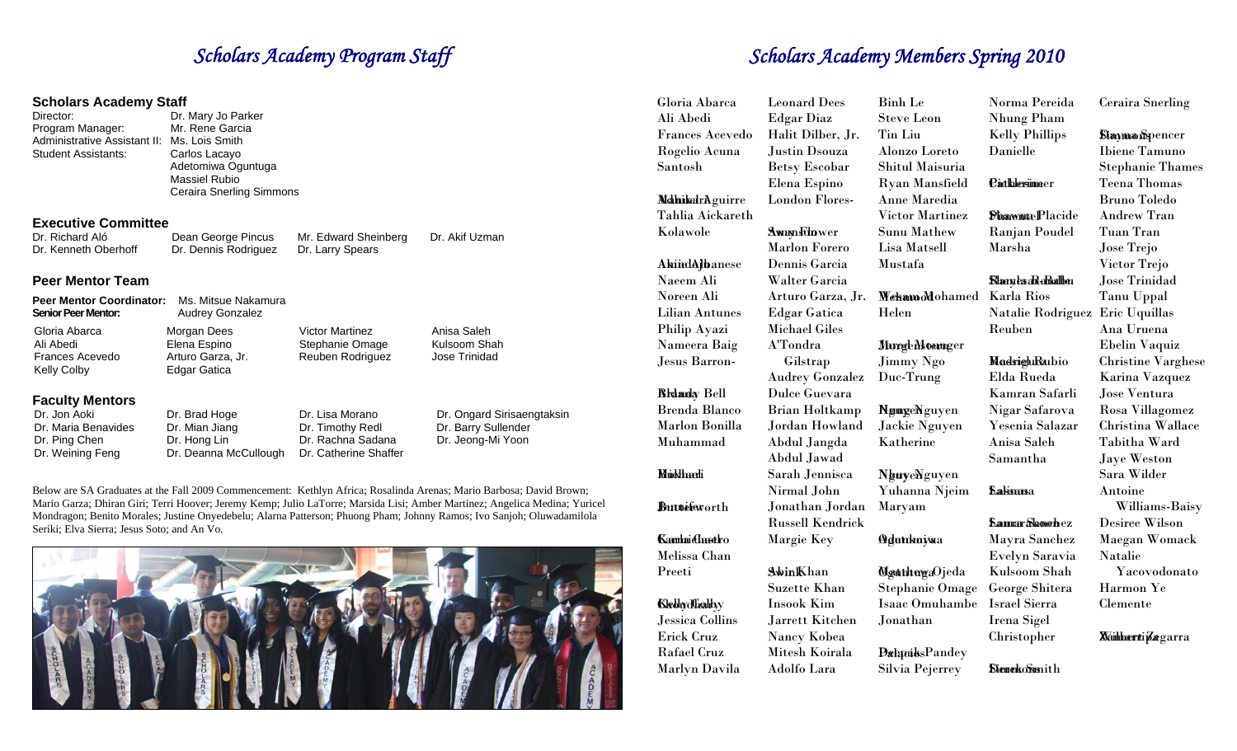#### **Scholars Academy Staff**

Director: Dr. Mary Jo Parker Program Manager: Mr. Rene Garcia Administrative Assistant II: Ms. Lois Smith Student Assistants: Carlos Lacayo Massiel Rubio

 Adetomiwa Oguntuga Ceraira Snerling Simmons

#### **Executive Committee**

Dr. Richard Aló Dean George Pincus Mr. Edward Sheinberg Dr. Akif Uzman Dr. Kenneth Oberhoff Dr. Dennis Rodriguez Dr. Larry Spears

#### **Peer Mentor Team**

| <b>Peer Mentor Coordinator:</b><br>Ms. Mitsue Nakamura<br><b>Audrey Gonzalez</b> |                                                                      |                                              |
|----------------------------------------------------------------------------------|----------------------------------------------------------------------|----------------------------------------------|
| Morgan Dees<br>Elena Espino<br>Arturo Garza, Jr.<br>Edgar Gatica                 | <b>Victor Martinez</b><br>Stephanie Omage<br><b>Reuben Rodriguez</b> | Anisa Saleh<br>Kulsoom Shah<br>Jose Trinidad |
|                                                                                  |                                                                      |                                              |
| Dr. Brad Hoge                                                                    | Dr. Lisa Morano                                                      | Dr. Ongard Sirisaengtaksin                   |
|                                                                                  | <b>Do Miss Bases</b>                                                 | D. The ethn Deall                            |

Dr. Maria Benavides Dr. Mian Jiang Dr. Timothy Redl Dr. Barry Sullender<br>Dr. Ping Chen Dr. Hong Lin Dr. Rachna Sadana Dr. Jeong-Mi Yoon Dr. Ping Chen Dr. Hong Lin Dr. Rachna Sadana Dr. Jeong-Mi Yoon<br>Dr. Weining Feng Dr. Deanna McCullough Dr. Catherine Shaffer

Dr. Deanna McCullough

Below are SA Graduates at the Fall 2009 Commencement: Kethlyn Africa; Rosalinda Arenas; Mario Barbosa; David Brown; Mario Garza; Dhiran Giri; Terri Hoover; Jeremy Kemp; Julio LaTorre; Marsida Lisi; Amber Martinez; Angelica Medina; Yuricel Mondragon; Benito Morales; Justine Onyedebelu; Alarna Patterson; Phuong Pham; Johnny Ramos; Ivo Sanjoh; Oluwadamilola Seriki; Elva Sierra; Jesus Soto; and An Vo.



## **Scholars Academy Program Staff** Scholars Academy Members Spring 2010

| Gloria Abarca          | <b>Leonard Dees</b>     | <b>Binh Le</b>         | Norma Pereida                       | <b>Ceraira Snerling</b>                 |
|------------------------|-------------------------|------------------------|-------------------------------------|-----------------------------------------|
| Ali Abedi              | <b>Edgar Diaz</b>       | <b>Steve Leon</b>      | <b>Nhung Pham</b>                   |                                         |
| <b>Frances Acevedo</b> | Halit Dilber, Jr.       | <b>Tin Liu</b>         | <b>Kelly Phillips</b>               | <b>Slaymo</b> nSpencer                  |
| Rogelio Acuna          | <b>Justin Dsouza</b>    | Alonzo Loreto          | Danielle                            | <b>Ibiene Tamuno</b>                    |
| Santosh                | <b>Betsy Escobar</b>    | Shitul Maisuria        |                                     | <b>Stephanie Thames</b>                 |
|                        | Elena Espino            | <b>Ryan Mansfield</b>  | <b><i><u>Padklesimeer</u></i></b>   | <b>Teena Thomas</b>                     |
| MahikedrAguirre        | <b>London Flores-</b>   | Anne Maredia           |                                     | <b>Bruno Toledo</b>                     |
| Tahlia Aickareth       |                         | <b>Victor Martinez</b> | <b><i><u>DhawmtePlacide</u></i></b> | <b>Andrew Tran</b>                      |
| Kolawole               | <b>Away Folower</b>     | Sunu Mathew            | Ranjan Poudel                       | Tuan Tran                               |
|                        | <b>Marlon Forero</b>    | Lisa Matsell           | Marsha                              | Jose Trejo                              |
| <b>Akindajbanese</b>   | Dennis Garcia           | Mustafa                |                                     | Victor Trejo                            |
| Naeem Ali              | Walter Garcia           |                        | <b>Slaeyes</b> a Rabalber           | <b>Jose Trinidad</b>                    |
| Noreen Ali             | Arturo Garza, Jr.       | Wehamoddohamed         | <b>Karla Rios</b>                   | Tanu Uppal                              |
| <b>Lilian Antunes</b>  | <b>Edgar Gatica</b>     | Helen                  | Natalie Rodriguez                   | Eric Uquillas                           |
| Philip Ayazi           | <b>Michael Giles</b>    |                        | Reuben                              | Ana Uruena                              |
| Nameera Baig           | A'Tondra                | <b>JhorgeMoemger</b>   |                                     | Ebelin Vaquiz                           |
| Jesus Barron-          | Gilstrap                | Jimmy Ngo              | MadrightRatbio                      | <b>Christine Varghese</b>               |
|                        | <b>Audrey Gonzalez</b>  | Duc-Trung              | Elda Rueda                          | Karina Vazquez                          |
| <b>Bidanlay Bell</b>   | Dulce Guevara           |                        | Kamran Safarli                      | Jose Ventura                            |
| <b>Brenda Blanco</b>   | <b>Brian Holtkamp</b>   | NgmgeNguyen            | Nigar Safarova                      | Rosa Villagomez                         |
| <b>Marlon Bonilla</b>  | Jordan Howland          | Jackie Nguyen          | Yesenia Salazar                     | Christina Wallace                       |
| Muhammad               | Abdul Jangda            | Katherine              | Anisa Saleh                         | Tabitha Ward                            |
|                        | Abdul Jawad             |                        | Samantha                            | Jaye Weston                             |
| <b>Muddhachi</b>       | Sarah Jennisca          | NguyeNguyen            |                                     | Sara Wilder                             |
|                        | Nirmal John             | Yuhanna Njeim          | <b><i><u>Salismusa</u></i></b>      | Antoine                                 |
| Bartnefeworth          | Jonathan Jordan         | Maryam                 |                                     | Williams-Baisy                          |
|                        | <b>Russell Kendrick</b> |                        | <b>Samar Slanchez</b>               | Desiree Wilson                          |
| <b>Kamhai Chustro</b>  | Margie Key              | Adunkniwa              | Mayra Sanchez                       | <b>Maegan Womack</b>                    |
| Melissa Chan           |                         |                        | Evelyn Saravia                      | <b>Natalie</b>                          |
| Preeti                 | <b>AwinKhan</b>         | MguthtergaOjeda        | Kulsoom Shah                        | Yacovodonato                            |
|                        | <b>Suzette Khan</b>     | <b>Stephanie Omage</b> | George Shitera                      | Harmon Ye                               |
| <b>Klebhydfialthy</b>  | <b>Insook Kim</b>       | Isaac Omuhambe         | <b>Israel Sierra</b>                | Clemente                                |
| <b>Jessica Collins</b> | Jarrett Kitchen         | Jonathan               | Irena Sigel                         |                                         |
| Erick Cruz             | Nancy Kobea             |                        | Christopher                         | <b><i>X</i></b> dimbærti <b>Zægarra</b> |
| Rafael Cruz            | Mitesh Koirala          | <b>DalapaidsPandey</b> |                                     |                                         |
| Marlyn Davila          | Adolfo Lara             | Silvia Pejerrey        | <b>SienekoSunith</b>                |                                         |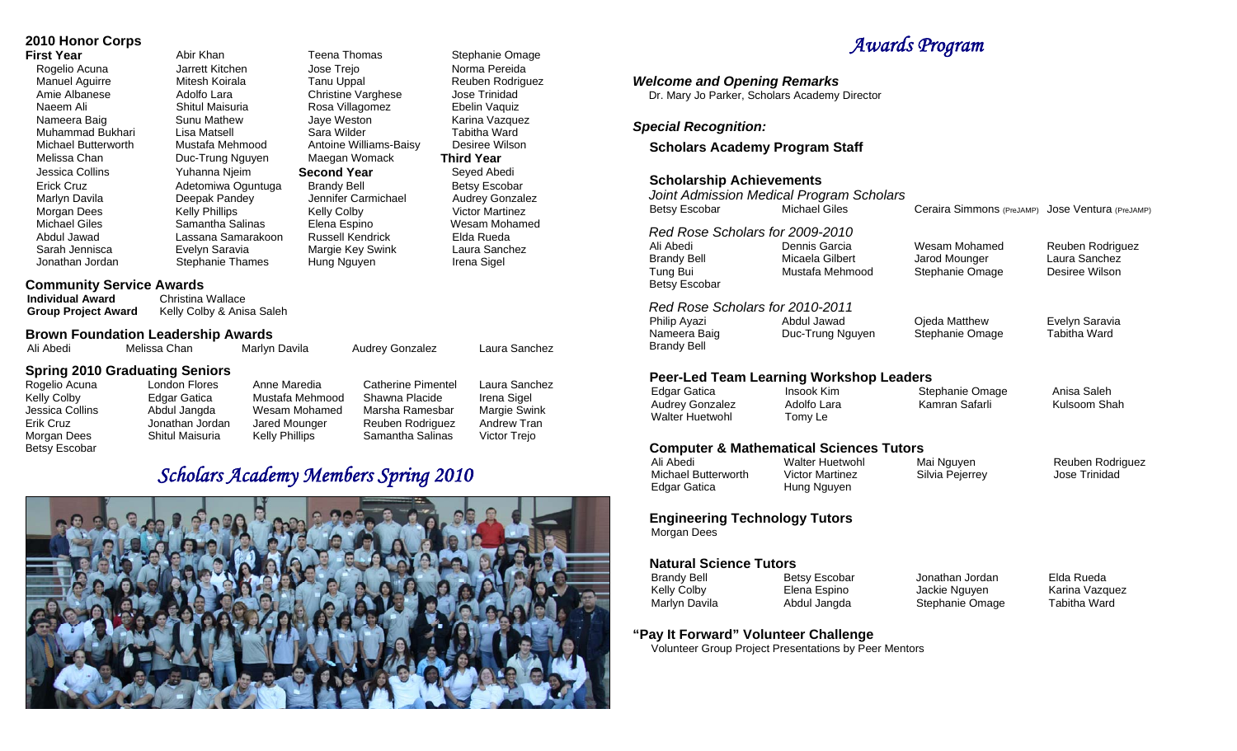### **2010 Honor Corps**

Muhammad Bukhari

**First Year Abir Khan** Teena Thomas Stephanie Omage Rogelio Acuna **Marrett Kitchen** Jose Trejo **Norma Pereida** Vorma Pereida Manuel Aguirre Mitesh Koirala Tanu Uppal Reuben Rodriguez Amie Albanese Adolfo Lara Christine Varghese Jose Trinidad Naeem Ali Shitul Maisuria Rosa Villagomez Ebelin Vaquiz<br>Nameera Baig Sunu Mathew Jave Weston Karina Vazque Nameera Baig Sunu Mathew Jaye Weston Karina Vazquez Michael Butterworth Mustafa Mehmood Antoine Williams-Baisy Desiree Wilson Melissa Chan Duc-Trung Nguyen Maegan Womack **Third Year**  Jessica Collins Yuhanna Njeim **Second Year** Seyed Abedi Erick Cruz Adetomiwa Oguntuga Brandy Bell Betsy Escobar Jennifer Carmichael Morgan Dees Kelly Phillips Kelly Colby Kelly Colby Victor Martinez Michael Giles Samantha Salinas Elena Espino Wesam Mohamed Abdul Jawad Lassana Samarakoon Russell Kendrick Elda Rueda Sarah Jennisca Evelyn Saravia Margie Key Swink Laura Sanchez

Jonathan Jordan Stephanie Thames Hung Nguyen Irena Sigel

## **Community Service Awards<br>Individual Award Christina**

**Christina Wallace Group Project Award** Kelly Colby & Anisa Saleh

**Brown Foundation Leadership Awards**

| Ali Abedi     | Melissa Chan                          | Marlvn Davila   | <b>Audrey Gonzalez</b> | Laura Sanchez |  |
|---------------|---------------------------------------|-----------------|------------------------|---------------|--|
|               | <b>Spring 2010 Graduating Seniors</b> |                 |                        |               |  |
| Rogelio Acuna | London Flores                         | Anne Maredia    | Catherine Pimentel     | Laura Sanchez |  |
| Kelly Colby   | Edgar Gatica                          | Mustafa Mehmood | Shawna Placide         | Irena Sigel   |  |

Betsy Escobar

Jessica Collins Abdul Jangda Wesam Mohamed Marsha Ramesbar Margie Swink Erik Cruz Jonathan Jordan Jared Mounger Reuben Rodriguez Andrew Tran Morgan Dees Shitul Maisuria Kelly Phillips Samantha Salinas Victor Trejo

## *Scholars Academy Members Spring 2010*



## *Awards Program*

#### *Welcome and Opening Remarks*

Dr. Mary Jo Parker, Scholars Academy Director

#### *Special Recognition:*

#### **Scholars Academy Program Staff**

#### **Scholarship Achievements**

*Joint Admission Medical Program Scholars*  Betsy Escobar Michael Giles Ceraira Simmons <sub>(PreJAMP)</sub> Jose Ventura <sub>(PreJAMP)</sub> *Red Rose Scholars for 2009-2010* Ali Abedi Dennis Garcia Wesam Mohamed Brandy Bell **Micaela Gilbert** Jarod Mounger<br>Tung Bui **Mustafa Mehmood** Stephanie Oma Stephanie Omage Betsy Escobar *Red Rose Scholars for 2010-2011* Philip Ayazi Abdul Jawad Ojeda Matthew Nameera Baig **Duc-Trung Nguyen** Stephanie Omage Brandy Bell Reuben Rodriguez Laura Sanchez Desiree Wilson Evelyn Saravia Tabitha Ward

#### **Peer-Led Team Learning Workshop Leaders**

Walter Huetwohl Tomy Le

Edgar Gatica **Insook Kim** Stephanie Omage Audrey Gonzalez **Adolfo Lara** Kamran Safarli

Anisa Saleh Kulsoom Shah

## **Computer & Mathematical Sciences Tutors**

Michael Butterworth Edgar Gatica Hung Nguyen

Walter Huetwohl Mai Nguyen<br>
Victor Martinez Cilvia Peierrev

Reuben Rodriguez Jose Trinidad

#### **Engineering Technology Tutors**

Morgan Dees

#### **Natural Science Tutors**

Brandy Bell **Betsy Escobar** Jonathan Jordan Kelly Colby **Elena Espino** Jackie Nguyen Marlyn Davila **Abdul Jangda** Stephanie Omage

Elda Rueda Karina Vazquez Tabitha Ward

#### **"Pay It Forward" Volunteer Challenge**

Volunteer Group Project Presentations by Peer Mentors